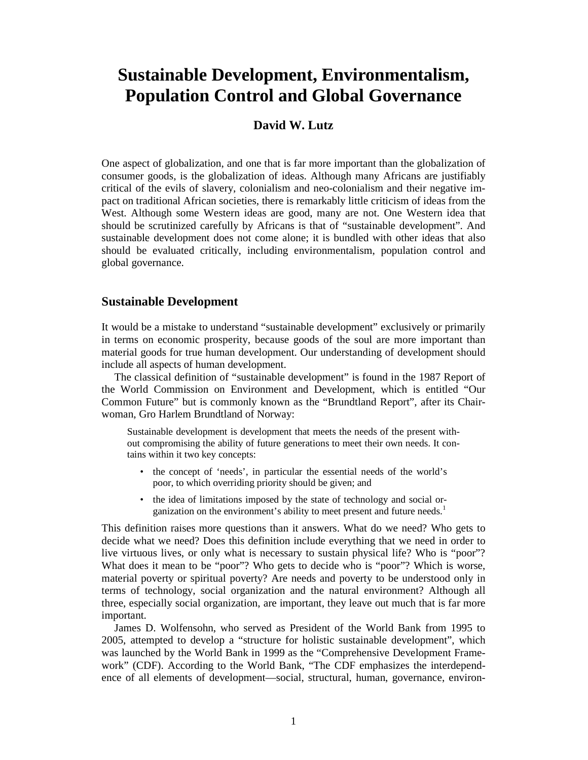# **Sustainable Development, Environmentalism, Population Control and Global Governance**

# **David W. Lutz**

One aspect of globalization, and one that is far more important than the globalization of consumer goods, is the globalization of ideas. Although many Africans are justifiably critical of the evils of slavery, colonialism and neo-colonialism and their negative impact on traditional African societies, there is remarkably little criticism of ideas from the West. Although some Western ideas are good, many are not. One Western idea that should be scrutinized carefully by Africans is that of "sustainable development". And sustainable development does not come alone; it is bundled with other ideas that also should be evaluated critically, including environmentalism, population control and global governance.

#### **Sustainable Development**

It would be a mistake to understand "sustainable development" exclusively or primarily in terms on economic prosperity, because goods of the soul are more important than material goods for true human development. Our understanding of development should include all aspects of human development.

The classical definition of "sustainable development" is found in the 1987 Report of the World Commission on Environment and Development, which is entitled "Our Common Future" but is commonly known as the "Brundtland Report", after its Chairwoman, Gro Harlem Brundtland of Norway:

Sustainable development is development that meets the needs of the present without compromising the ability of future generations to meet their own needs. It contains within it two key concepts:

- the concept of 'needs', in particular the essential needs of the world's poor, to which overriding priority should be given; and
- the idea of limitations imposed by the state of technology and social organization on the environment's ability to meet present and future needs.<sup>1</sup>

This definition raises more questions than it answers. What do we need? Who gets to decide what we need? Does this definition include everything that we need in order to live virtuous lives, or only what is necessary to sustain physical life? Who is "poor"? What does it mean to be "poor"? Who gets to decide who is "poor"? Which is worse, material poverty or spiritual poverty? Are needs and poverty to be understood only in terms of technology, social organization and the natural environment? Although all three, especially social organization, are important, they leave out much that is far more important.

James D. Wolfensohn, who served as President of the World Bank from 1995 to 2005, attempted to develop a "structure for holistic sustainable development", which was launched by the World Bank in 1999 as the "Comprehensive Development Framework" (CDF). According to the World Bank, "The CDF emphasizes the interdependence of all elements of development—social, structural, human, governance, environ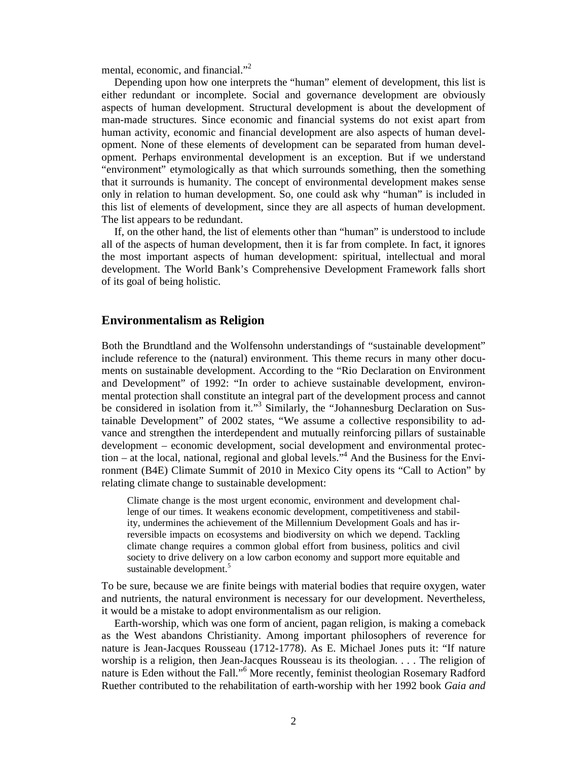mental, economic, and financial."<sup>2</sup>

Depending upon how one interprets the "human" element of development, this list is either redundant or incomplete. Social and governance development are obviously aspects of human development. Structural development is about the development of man-made structures. Since economic and financial systems do not exist apart from human activity, economic and financial development are also aspects of human development. None of these elements of development can be separated from human development. Perhaps environmental development is an exception. But if we understand "environment" etymologically as that which surrounds something, then the something that it surrounds is humanity. The concept of environmental development makes sense only in relation to human development. So, one could ask why "human" is included in this list of elements of development, since they are all aspects of human development. The list appears to be redundant.

If, on the other hand, the list of elements other than "human" is understood to include all of the aspects of human development, then it is far from complete. In fact, it ignores the most important aspects of human development: spiritual, intellectual and moral development. The World Bank's Comprehensive Development Framework falls short of its goal of being holistic.

#### **Environmentalism as Religion**

Both the Brundtland and the Wolfensohn understandings of "sustainable development" include reference to the (natural) environment. This theme recurs in many other documents on sustainable development. According to the "Rio Declaration on Environment and Development" of 1992: "In order to achieve sustainable development, environmental protection shall constitute an integral part of the development process and cannot be considered in isolation from it."<sup>3</sup> Similarly, the "Johannesburg Declaration on Sustainable Development" of 2002 states, "We assume a collective responsibility to advance and strengthen the interdependent and mutually reinforcing pillars of sustainable development – economic development, social development and environmental protection  $-$  at the local, national, regional and global levels.<sup>34</sup> And the Business for the Environment (B4E) Climate Summit of 2010 in Mexico City opens its "Call to Action" by relating climate change to sustainable development:

Climate change is the most urgent economic, environment and development challenge of our times. It weakens economic development, competitiveness and stability, undermines the achievement of the Millennium Development Goals and has irreversible impacts on ecosystems and biodiversity on which we depend. Tackling climate change requires a common global effort from business, politics and civil society to drive delivery on a low carbon economy and support more equitable and sustainable development.<sup>5</sup>

To be sure, because we are finite beings with material bodies that require oxygen, water and nutrients, the natural environment is necessary for our development. Nevertheless, it would be a mistake to adopt environmentalism as our religion.

Earth-worship, which was one form of ancient, pagan religion, is making a comeback as the West abandons Christianity. Among important philosophers of reverence for nature is Jean-Jacques Rousseau (1712-1778). As E. Michael Jones puts it: "If nature worship is a religion, then Jean-Jacques Rousseau is its theologian. . . . The religion of nature is Eden without the Fall."<sup>6</sup> More recently, feminist theologian Rosemary Radford Ruether contributed to the rehabilitation of earth-worship with her 1992 book *Gaia and*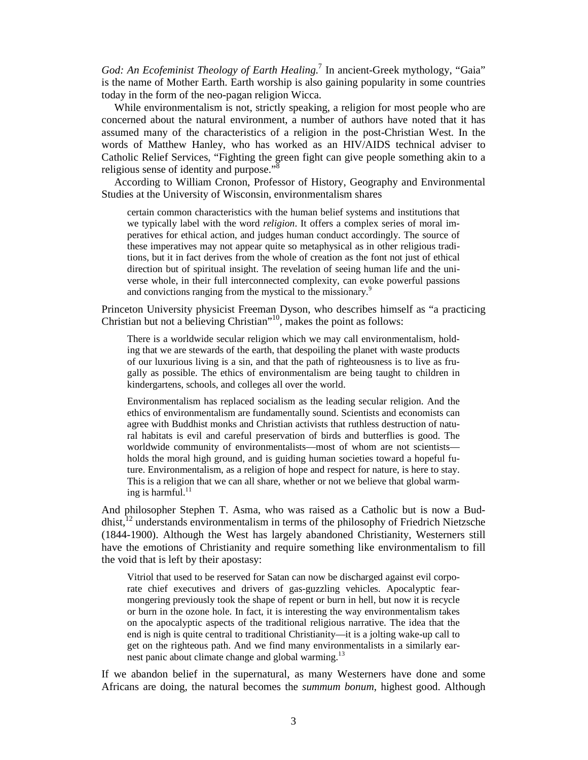God: An Ecofeminist Theology of Earth Healing.<sup>7</sup> In ancient-Greek mythology, "Gaia" is the name of Mother Earth. Earth worship is also gaining popularity in some countries today in the form of the neo-pagan religion Wicca.

While environmentalism is not, strictly speaking, a religion for most people who are concerned about the natural environment, a number of authors have noted that it has assumed many of the characteristics of a religion in the post-Christian West. In the words of Matthew Hanley, who has worked as an HIV/AIDS technical adviser to Catholic Relief Services, "Fighting the green fight can give people something akin to a religious sense of identity and purpose."<sup>8</sup>

According to William Cronon, Professor of History, Geography and Environmental Studies at the University of Wisconsin, environmentalism shares

certain common characteristics with the human belief systems and institutions that we typically label with the word *religion*. It offers a complex series of moral imperatives for ethical action, and judges human conduct accordingly. The source of these imperatives may not appear quite so metaphysical as in other religious traditions, but it in fact derives from the whole of creation as the font not just of ethical direction but of spiritual insight. The revelation of seeing human life and the universe whole, in their full interconnected complexity, can evoke powerful passions and convictions ranging from the mystical to the missionary.<sup>9</sup>

Princeton University physicist Freeman Dyson, who describes himself as "a practicing Christian but not a believing Christian"<sup>10</sup>, makes the point as follows:

There is a worldwide secular religion which we may call environmentalism, holding that we are stewards of the earth, that despoiling the planet with waste products of our luxurious living is a sin, and that the path of righteousness is to live as frugally as possible. The ethics of environmentalism are being taught to children in kindergartens, schools, and colleges all over the world.

Environmentalism has replaced socialism as the leading secular religion. And the ethics of environmentalism are fundamentally sound. Scientists and economists can agree with Buddhist monks and Christian activists that ruthless destruction of natural habitats is evil and careful preservation of birds and butterflies is good. The worldwide community of environmentalists—most of whom are not scientists holds the moral high ground, and is guiding human societies toward a hopeful future. Environmentalism, as a religion of hope and respect for nature, is here to stay. This is a religion that we can all share, whether or not we believe that global warming is harmful. $^{11}$ 

And philosopher Stephen T. Asma, who was raised as a Catholic but is now a Buddhist,<sup>12</sup> understands environmentalism in terms of the philosophy of Friedrich Nietzsche (1844-1900). Although the West has largely abandoned Christianity, Westerners still have the emotions of Christianity and require something like environmentalism to fill the void that is left by their apostasy:

Vitriol that used to be reserved for Satan can now be discharged against evil corporate chief executives and drivers of gas-guzzling vehicles. Apocalyptic fearmongering previously took the shape of repent or burn in hell, but now it is recycle or burn in the ozone hole. In fact, it is interesting the way environmentalism takes on the apocalyptic aspects of the traditional religious narrative. The idea that the end is nigh is quite central to traditional Christianity—it is a jolting wake-up call to get on the righteous path. And we find many environmentalists in a similarly earnest panic about climate change and global warming.<sup>13</sup>

If we abandon belief in the supernatural, as many Westerners have done and some Africans are doing, the natural becomes the *summum bonum*, highest good. Although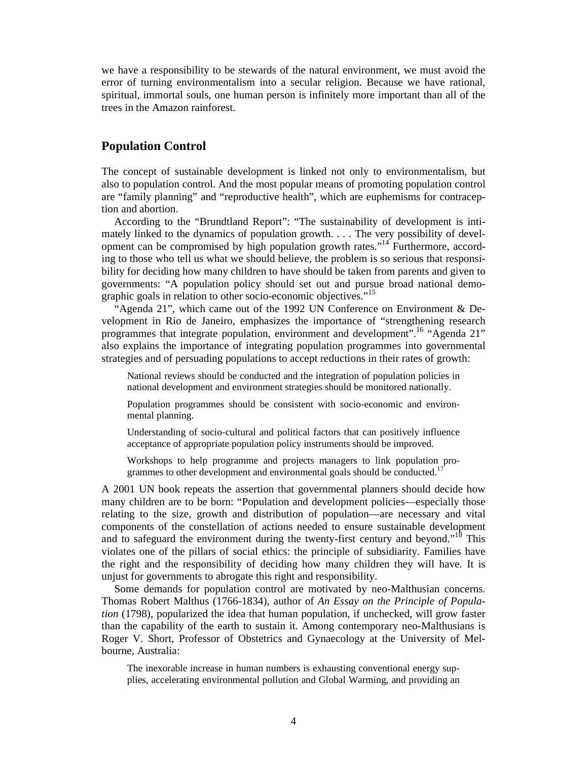we have a responsibility to be stewards of the natural environment, we must avoid the error of turning environmentalism into a secular religion. Because we have rational, spiritual, immortal souls, one human person is infinitely more important than all of the trees in the Amazon rainforest.

#### **Population Control**

The concept of sustainable development is linked not only to environmentalism, but also to population control. And the most popular means of promoting population control are "family planning" and "reproductive health", which are euphemisms for contraception and abortion.

According to the "Brundtland Report": "The sustainability of development is intimately linked to the dynamics of population growth. . . . The very possibility of development can be compromised by high population growth rates."<sup>14</sup> Furthermore, according to those who tell us what we should believe, the problem is so serious that responsibility for deciding how many children to have should be taken from parents and given to governments: "A population policy should set out and pursue broad national demographic goals in relation to other socio-economic objectives."<sup>15</sup>

"Agenda 21", which came out of the 1992 UN Conference on Environment & Development in Rio de Janeiro, emphasizes the importance of "strengthening research programmes that integrate population, environment and development".<sup>16</sup> "Agenda 21" also explains the importance of integrating population programmes into governmental strategies and of persuading populations to accept reductions in their rates of growth:

National reviews should be conducted and the integration of population policies in national development and environment strategies should be monitored nationally.

Population programmes should be consistent with socio-economic and environmental planning.

Understanding of socio-cultural and political factors that can positively influence acceptance of appropriate population policy instruments should be improved.

Workshops to help programme and projects managers to link population programmes to other development and environmental goals should be conducted.<sup>17</sup>

A 2001 UN book repeats the assertion that governmental planners should decide how many children are to be born: "Population and development policies—especially those relating to the size, growth and distribution of population—are necessary and vital components of the constellation of actions needed to ensure sustainable development and to safeguard the environment during the twenty-first century and beyond."<sup>18</sup> This violates one of the pillars of social ethics: the principle of subsidiarity. Families have the right and the responsibility of deciding how many children they will have. It is unjust for governments to abrogate this right and responsibility.

Some demands for population control are motivated by neo-Malthusian concerns. Thomas Robert Malthus (1766-1834), author of *An Essay on the Principle of Population* (1798), popularized the idea that human population, if unchecked, will grow faster than the capability of the earth to sustain it. Among contemporary neo-Malthusians is Roger V. Short, Professor of Obstetrics and Gynaecology at the University of Melbourne, Australia:

The inexorable increase in human numbers is exhausting conventional energy supplies, accelerating environmental pollution and Global Warming, and providing an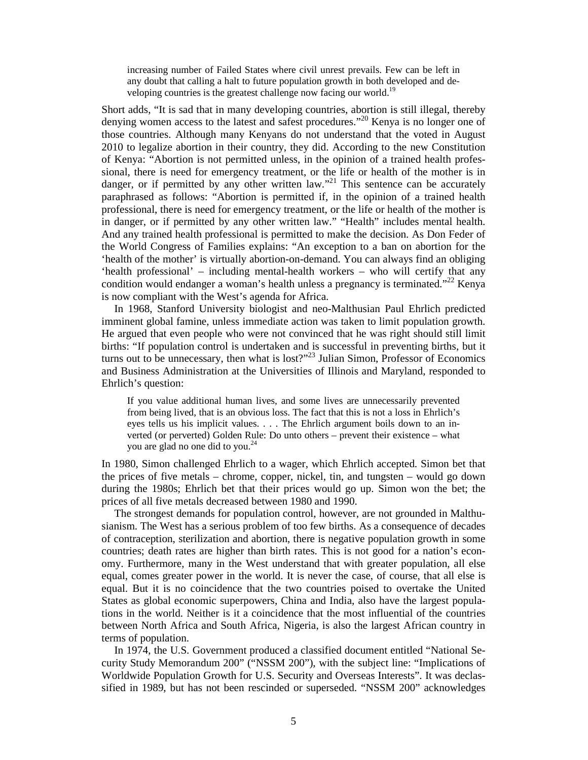increasing number of Failed States where civil unrest prevails. Few can be left in any doubt that calling a halt to future population growth in both developed and developing countries is the greatest challenge now facing our world.<sup>19</sup>

Short adds, "It is sad that in many developing countries, abortion is still illegal, thereby denying women access to the latest and safest procedures."<sup>20</sup> Kenya is no longer one of those countries. Although many Kenyans do not understand that the voted in August 2010 to legalize abortion in their country, they did. According to the new Constitution of Kenya: "Abortion is not permitted unless, in the opinion of a trained health professional, there is need for emergency treatment, or the life or health of the mother is in danger, or if permitted by any other written law."<sup>21</sup> This sentence can be accurately paraphrased as follows: "Abortion is permitted if, in the opinion of a trained health professional, there is need for emergency treatment, or the life or health of the mother is in danger, or if permitted by any other written law." "Health" includes mental health. And any trained health professional is permitted to make the decision. As Don Feder of the World Congress of Families explains: "An exception to a ban on abortion for the 'health of the mother' is virtually abortion-on-demand. You can always find an obliging 'health professional' – including mental-health workers – who will certify that any condition would endanger a woman's health unless a pregnancy is terminated."<sup>22</sup> Kenya is now compliant with the West's agenda for Africa.

In 1968, Stanford University biologist and neo-Malthusian Paul Ehrlich predicted imminent global famine, unless immediate action was taken to limit population growth. He argued that even people who were not convinced that he was right should still limit births: "If population control is undertaken and is successful in preventing births, but it turns out to be unnecessary, then what is  $\text{lost?}^{23}$  Julian Simon, Professor of Economics and Business Administration at the Universities of Illinois and Maryland, responded to Ehrlich's question:

If you value additional human lives, and some lives are unnecessarily prevented from being lived, that is an obvious loss. The fact that this is not a loss in Ehrlich's eyes tells us his implicit values. . . . The Ehrlich argument boils down to an inverted (or perverted) Golden Rule: Do unto others – prevent their existence – what you are glad no one did to you.<sup>24</sup>

In 1980, Simon challenged Ehrlich to a wager, which Ehrlich accepted. Simon bet that the prices of five metals – chrome, copper, nickel, tin, and tungsten – would go down during the 1980s; Ehrlich bet that their prices would go up. Simon won the bet; the prices of all five metals decreased between 1980 and 1990.

The strongest demands for population control, however, are not grounded in Malthusianism. The West has a serious problem of too few births. As a consequence of decades of contraception, sterilization and abortion, there is negative population growth in some countries; death rates are higher than birth rates. This is not good for a nation's economy. Furthermore, many in the West understand that with greater population, all else equal, comes greater power in the world. It is never the case, of course, that all else is equal. But it is no coincidence that the two countries poised to overtake the United States as global economic superpowers, China and India, also have the largest populations in the world. Neither is it a coincidence that the most influential of the countries between North Africa and South Africa, Nigeria, is also the largest African country in terms of population.

In 1974, the U.S. Government produced a classified document entitled "National Security Study Memorandum 200" ("NSSM 200"), with the subject line: "Implications of Worldwide Population Growth for U.S. Security and Overseas Interests". It was declassified in 1989, but has not been rescinded or superseded. "NSSM 200" acknowledges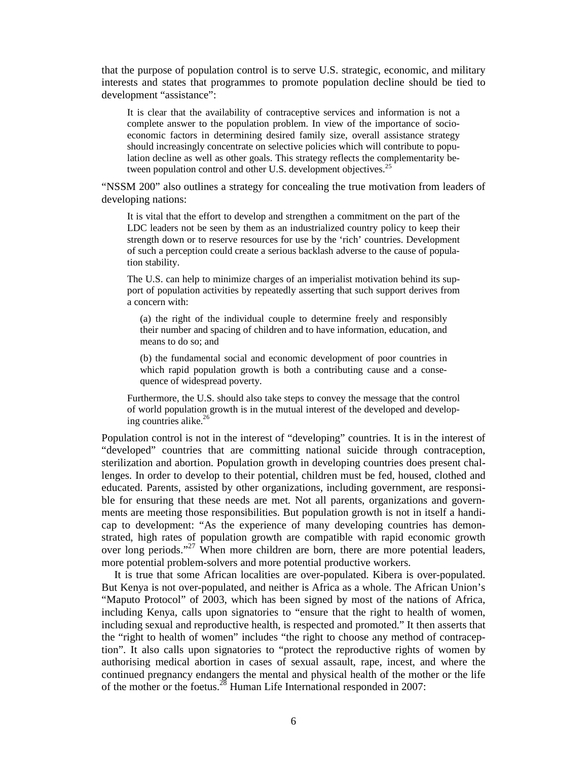that the purpose of population control is to serve U.S. strategic, economic, and military interests and states that programmes to promote population decline should be tied to development "assistance":

It is clear that the availability of contraceptive services and information is not a complete answer to the population problem. In view of the importance of socioeconomic factors in determining desired family size, overall assistance strategy should increasingly concentrate on selective policies which will contribute to population decline as well as other goals. This strategy reflects the complementarity between population control and other U.S. development objectives.<sup>25</sup>

"NSSM 200" also outlines a strategy for concealing the true motivation from leaders of developing nations:

It is vital that the effort to develop and strengthen a commitment on the part of the LDC leaders not be seen by them as an industrialized country policy to keep their strength down or to reserve resources for use by the 'rich' countries. Development of such a perception could create a serious backlash adverse to the cause of population stability.

The U.S. can help to minimize charges of an imperialist motivation behind its support of population activities by repeatedly asserting that such support derives from a concern with:

(a) the right of the individual couple to determine freely and responsibly their number and spacing of children and to have information, education, and means to do so; and

(b) the fundamental social and economic development of poor countries in which rapid population growth is both a contributing cause and a consequence of widespread poverty.

Furthermore, the U.S. should also take steps to convey the message that the control of world population growth is in the mutual interest of the developed and developing countries alike.<sup>26</sup>

Population control is not in the interest of "developing" countries. It is in the interest of "developed" countries that are committing national suicide through contraception, sterilization and abortion. Population growth in developing countries does present challenges. In order to develop to their potential, children must be fed, housed, clothed and educated. Parents, assisted by other organizations, including government, are responsible for ensuring that these needs are met. Not all parents, organizations and governments are meeting those responsibilities. But population growth is not in itself a handicap to development: "As the experience of many developing countries has demonstrated, high rates of population growth are compatible with rapid economic growth over long periods."<sup>27</sup> When more children are born, there are more potential leaders, more potential problem-solvers and more potential productive workers.

It is true that some African localities are over-populated. Kibera is over-populated. But Kenya is not over-populated, and neither is Africa as a whole. The African Union's "Maputo Protocol" of 2003, which has been signed by most of the nations of Africa, including Kenya, calls upon signatories to "ensure that the right to health of women, including sexual and reproductive health, is respected and promoted." It then asserts that the "right to health of women" includes "the right to choose any method of contraception". It also calls upon signatories to "protect the reproductive rights of women by authorising medical abortion in cases of sexual assault, rape, incest, and where the continued pregnancy endangers the mental and physical health of the mother or the life of the mother or the foetus.<sup>28</sup> Human Life International responded in 2007: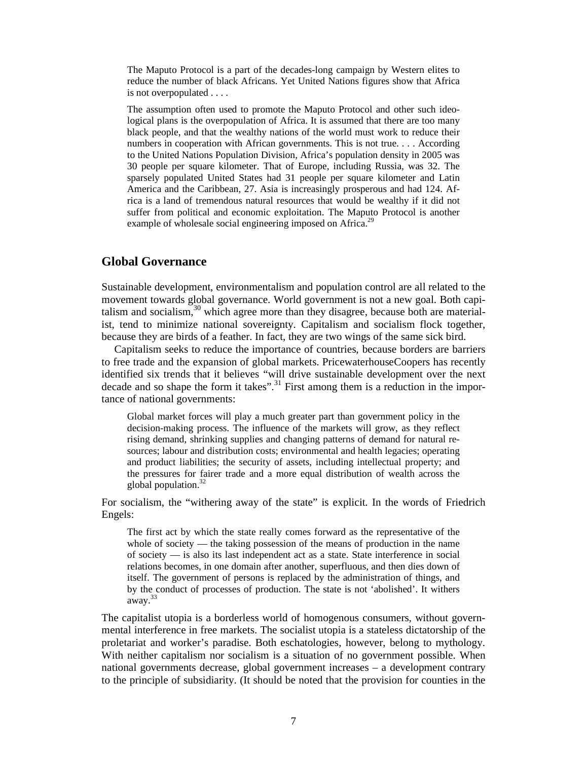The Maputo Protocol is a part of the decades-long campaign by Western elites to reduce the number of black Africans. Yet United Nations figures show that Africa is not overpopulated . . . .

The assumption often used to promote the Maputo Protocol and other such ideological plans is the overpopulation of Africa. It is assumed that there are too many black people, and that the wealthy nations of the world must work to reduce their numbers in cooperation with African governments. This is not true. . . . According to the United Nations Population Division, Africa's population density in 2005 was 30 people per square kilometer. That of Europe, including Russia, was 32. The sparsely populated United States had 31 people per square kilometer and Latin America and the Caribbean, 27. Asia is increasingly prosperous and had 124. Africa is a land of tremendous natural resources that would be wealthy if it did not suffer from political and economic exploitation. The Maputo Protocol is another example of wholesale social engineering imposed on Africa.<sup>29</sup>

### **Global Governance**

Sustainable development, environmentalism and population control are all related to the movement towards global governance. World government is not a new goal. Both capitalism and socialism,  $30$  which agree more than they disagree, because both are materialist, tend to minimize national sovereignty. Capitalism and socialism flock together, because they are birds of a feather. In fact, they are two wings of the same sick bird.

Capitalism seeks to reduce the importance of countries, because borders are barriers to free trade and the expansion of global markets. PricewaterhouseCoopers has recently identified six trends that it believes "will drive sustainable development over the next decade and so shape the form it takes".<sup>31</sup> First among them is a reduction in the importance of national governments:

Global market forces will play a much greater part than government policy in the decision-making process. The influence of the markets will grow, as they reflect rising demand, shrinking supplies and changing patterns of demand for natural resources; labour and distribution costs; environmental and health legacies; operating and product liabilities; the security of assets, including intellectual property; and the pressures for fairer trade and a more equal distribution of wealth across the global population.<sup>32</sup>

For socialism, the "withering away of the state" is explicit. In the words of Friedrich Engels:

The first act by which the state really comes forward as the representative of the whole of society — the taking possession of the means of production in the name of society — is also its last independent act as a state. State interference in social relations becomes, in one domain after another, superfluous, and then dies down of itself. The government of persons is replaced by the administration of things, and by the conduct of processes of production. The state is not 'abolished'. It withers away.<sup>33</sup>

The capitalist utopia is a borderless world of homogenous consumers, without governmental interference in free markets. The socialist utopia is a stateless dictatorship of the proletariat and worker's paradise. Both eschatologies, however, belong to mythology. With neither capitalism nor socialism is a situation of no government possible. When national governments decrease, global government increases – a development contrary to the principle of subsidiarity. (It should be noted that the provision for counties in the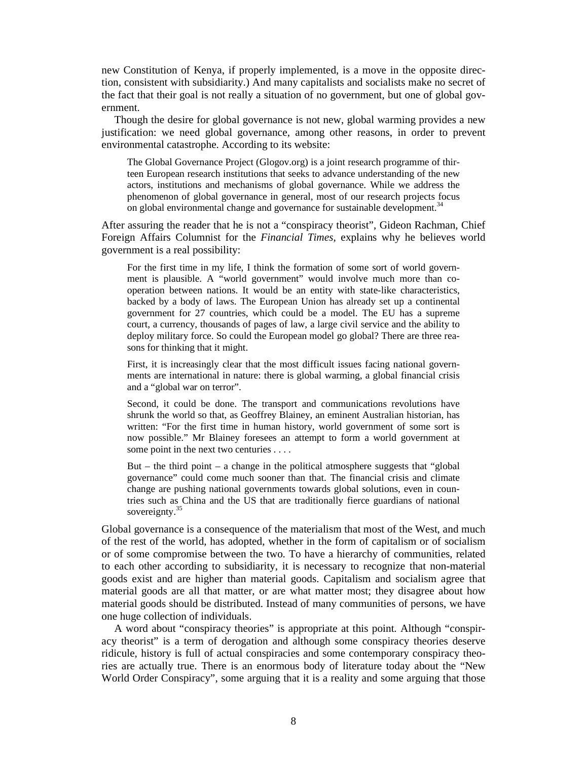new Constitution of Kenya, if properly implemented, is a move in the opposite direction, consistent with subsidiarity.) And many capitalists and socialists make no secret of the fact that their goal is not really a situation of no government, but one of global government.

Though the desire for global governance is not new, global warming provides a new justification: we need global governance, among other reasons, in order to prevent environmental catastrophe. According to its website:

The Global Governance Project (Glogov.org) is a joint research programme of thirteen European research institutions that seeks to advance understanding of the new actors, institutions and mechanisms of global governance. While we address the phenomenon of global governance in general, most of our research projects focus on global environmental change and governance for sustainable development.<sup>34</sup>

After assuring the reader that he is not a "conspiracy theorist", Gideon Rachman, Chief Foreign Affairs Columnist for the *Financial Times*, explains why he believes world government is a real possibility:

For the first time in my life, I think the formation of some sort of world government is plausible. A "world government" would involve much more than cooperation between nations. It would be an entity with state-like characteristics, backed by a body of laws. The European Union has already set up a continental government for 27 countries, which could be a model. The EU has a supreme court, a currency, thousands of pages of law, a large civil service and the ability to deploy military force. So could the European model go global? There are three reasons for thinking that it might.

First, it is increasingly clear that the most difficult issues facing national governments are international in nature: there is global warming, a global financial crisis and a "global war on terror".

Second, it could be done. The transport and communications revolutions have shrunk the world so that, as Geoffrey Blainey, an eminent Australian historian, has written: "For the first time in human history, world government of some sort is now possible." Mr Blainey foresees an attempt to form a world government at some point in the next two centuries . . . .

But – the third point – a change in the political atmosphere suggests that "global" governance" could come much sooner than that. The financial crisis and climate change are pushing national governments towards global solutions, even in countries such as China and the US that are traditionally fierce guardians of national sovereignty.<sup>35</sup>

Global governance is a consequence of the materialism that most of the West, and much of the rest of the world, has adopted, whether in the form of capitalism or of socialism or of some compromise between the two. To have a hierarchy of communities, related to each other according to subsidiarity, it is necessary to recognize that non-material goods exist and are higher than material goods. Capitalism and socialism agree that material goods are all that matter, or are what matter most; they disagree about how material goods should be distributed. Instead of many communities of persons, we have one huge collection of individuals.

A word about "conspiracy theories" is appropriate at this point. Although "conspiracy theorist" is a term of derogation and although some conspiracy theories deserve ridicule, history is full of actual conspiracies and some contemporary conspiracy theories are actually true. There is an enormous body of literature today about the "New World Order Conspiracy", some arguing that it is a reality and some arguing that those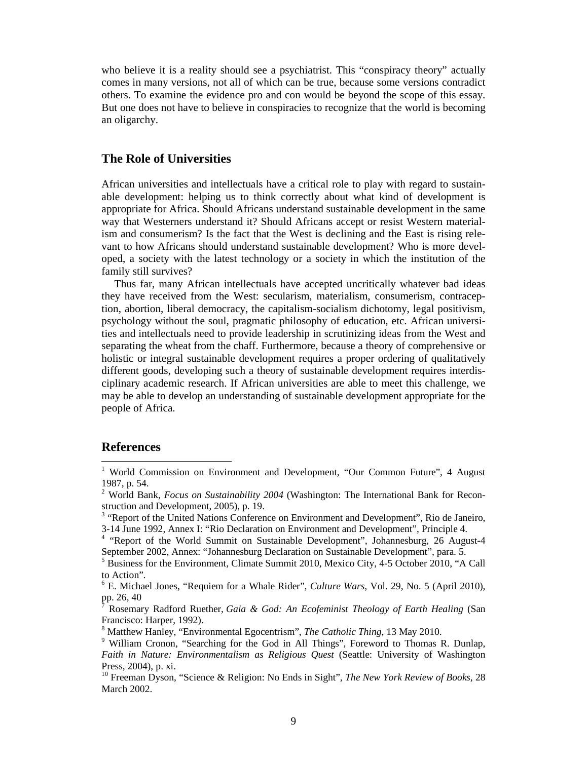who believe it is a reality should see a psychiatrist. This "conspiracy theory" actually comes in many versions, not all of which can be true, because some versions contradict others. To examine the evidence pro and con would be beyond the scope of this essay. But one does not have to believe in conspiracies to recognize that the world is becoming an oligarchy.

## **The Role of Universities**

African universities and intellectuals have a critical role to play with regard to sustainable development: helping us to think correctly about what kind of development is appropriate for Africa. Should Africans understand sustainable development in the same way that Westerners understand it? Should Africans accept or resist Western materialism and consumerism? Is the fact that the West is declining and the East is rising relevant to how Africans should understand sustainable development? Who is more developed, a society with the latest technology or a society in which the institution of the family still survives?

Thus far, many African intellectuals have accepted uncritically whatever bad ideas they have received from the West: secularism, materialism, consumerism, contraception, abortion, liberal democracy, the capitalism-socialism dichotomy, legal positivism, psychology without the soul, pragmatic philosophy of education, etc. African universities and intellectuals need to provide leadership in scrutinizing ideas from the West and separating the wheat from the chaff. Furthermore, because a theory of comprehensive or holistic or integral sustainable development requires a proper ordering of qualitatively different goods, developing such a theory of sustainable development requires interdisciplinary academic research. If African universities are able to meet this challenge, we may be able to develop an understanding of sustainable development appropriate for the people of Africa.

#### **References**

 $\overline{a}$ 

<sup>&</sup>lt;sup>1</sup> World Commission on Environment and Development, "Our Common Future", 4 August 1987, p. 54.

<sup>&</sup>lt;sup>2</sup> World Bank, *Focus on Sustainability 2004* (Washington: The International Bank for Reconstruction and Development, 2005), p. 19.

<sup>&</sup>lt;sup>3</sup> "Report of the United Nations Conference on Environment and Development", Rio de Janeiro, 3-14 June 1992, Annex I: "Rio Declaration on Environment and Development", Principle 4.

<sup>&</sup>lt;sup>4</sup> "Report of the World Summit on Sustainable Development", Johannesburg, 26 August-4

September 2002, Annex: "Johannesburg Declaration on Sustainable Development", para. 5.<br><sup>5</sup> Business for the Environment, Climate Summit 2010, Mexico City, 4-5 October 2010, "A Call to Action".

<sup>6</sup> E. Michael Jones, "Requiem for a Whale Rider", *Culture Wars*, Vol. 29, No. 5 (April 2010), pp. 26, 40

<sup>7</sup> Rosemary Radford Ruether, *Gaia & God: An Ecofeminist Theology of Earth Healing* (San Francisco: Harper, 1992).

<sup>8</sup> Matthew Hanley, "Environmental Egocentrism", *The Catholic Thing*, 13 May 2010.

<sup>&</sup>lt;sup>9</sup> William Cronon, "Searching for the God in All Things", Foreword to Thomas R. Dunlap, *Faith in Nature: Environmentalism as Religious Quest* (Seattle: University of Washington Press, 2004), p. xi.

<sup>10</sup> Freeman Dyson, "Science & Religion: No Ends in Sight", *The New York Review of Books*, 28 March 2002.